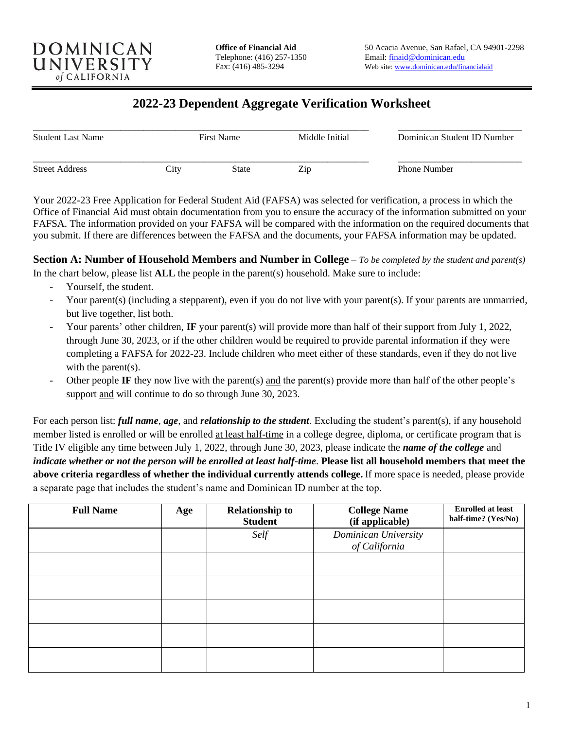

# **2022-23 Dependent Aggregate Verification Worksheet**

| <b>Student Last Name</b> |                   | <b>First Name</b> | Middle Initial | Dominican Student ID Number |  |
|--------------------------|-------------------|-------------------|----------------|-----------------------------|--|
| <b>Street Address</b>    | $\mathcal{L}$ ity | State             | Zip            | <b>Phone Number</b>         |  |

Your 2022-23 Free Application for Federal Student Aid (FAFSA) was selected for verification, a process in which the Office of Financial Aid must obtain documentation from you to ensure the accuracy of the information submitted on your FAFSA. The information provided on your FAFSA will be compared with the information on the required documents that you submit. If there are differences between the FAFSA and the documents, your FAFSA information may be updated.

**Section A: Number of Household Members and Number in College** – *To be completed by the student and parent(s)* In the chart below, please list **ALL** the people in the parent(s) household. Make sure to include:

- Yourself, the student.
- Your parent(s) (including a stepparent), even if you do not live with your parent(s). If your parents are unmarried, but live together, list both.
- Your parents' other children, **IF** your parent(s) will provide more than half of their support from July 1, 2022, through June 30, 2023, or if the other children would be required to provide parental information if they were completing a FAFSA for 2022-23. Include children who meet either of these standards, even if they do not live with the parent(s).
- Other people **IF** they now live with the parent(s) and the parent(s) provide more than half of the other people's support and will continue to do so through June 30, 2023.

For each person list: *full name, age,* and *relationship to the student*. Excluding the student's parent(s), if any household member listed is enrolled or will be enrolled at least half-time in a college degree, diploma, or certificate program that is Title IV eligible any time between July 1, 2022, through June 30, 2023, please indicate the *name of the college* and *indicate whether or not the person will be enrolled at least half-time*. **Please list all household members that meet the above criteria regardless of whether the individual currently attends college.** If more space is needed, please provide a separate page that includes the student's name and Dominican ID number at the top.

| <b>Full Name</b> | Age | <b>Relationship to</b><br><b>Student</b> | <b>College Name</b><br>(if applicable) | <b>Enrolled at least</b><br>half-time? (Yes/No) |
|------------------|-----|------------------------------------------|----------------------------------------|-------------------------------------------------|
|                  |     | Self                                     | Dominican University<br>of California  |                                                 |
|                  |     |                                          |                                        |                                                 |
|                  |     |                                          |                                        |                                                 |
|                  |     |                                          |                                        |                                                 |
|                  |     |                                          |                                        |                                                 |
|                  |     |                                          |                                        |                                                 |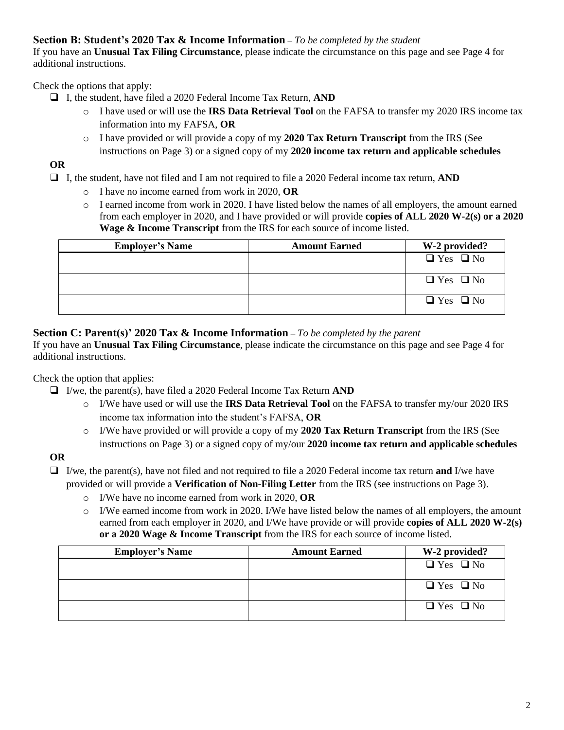#### **Section B: Student's 2020 Tax & Income Information –** *To be completed by the student*

If you have an **Unusual Tax Filing Circumstance**, please indicate the circumstance on this page and see Page 4 for additional instructions.

Check the options that apply:

- ❑ I, the student, have filed a 2020 Federal Income Tax Return, **AND**
	- o I have used or will use the **IRS Data Retrieval Tool** on the FAFSA to transfer my 2020 IRS income tax information into my FAFSA, **OR**
	- o I have provided or will provide a copy of my **2020 Tax Return Transcript** from the IRS (See
	- instructions on Page 3) or a signed copy of my **2020 income tax return and applicable schedules**

## **OR**

❑ I, the student, have not filed and I am not required to file a 2020 Federal income tax return, **AND**

- o I have no income earned from work in 2020, **OR**
- o I earned income from work in 2020. I have listed below the names of all employers, the amount earned from each employer in 2020, and I have provided or will provide **copies of ALL 2020 W-2(s) or a 2020 Wage & Income Transcript** from the IRS for each source of income listed.

| <b>Employer's Name</b> | <b>Amount Earned</b> | W-2 provided?        |
|------------------------|----------------------|----------------------|
|                        |                      | $\Box$ Yes $\Box$ No |
|                        |                      | $\Box$ Yes $\Box$ No |
|                        |                      | $\Box$ Yes $\Box$ No |

#### **Section C: Parent(s)' 2020 Tax & Income Information –** *To be completed by the parent*

If you have an **Unusual Tax Filing Circumstance**, please indicate the circumstance on this page and see Page 4 for additional instructions.

Check the option that applies:

- ❑ I/we, the parent(s), have filed a 2020 Federal Income Tax Return **AND**
	- o I/We have used or will use the **IRS Data Retrieval Tool** on the FAFSA to transfer my/our 2020 IRS income tax information into the student's FAFSA, **OR**
	- o I/We have provided or will provide a copy of my **2020 Tax Return Transcript** from the IRS (See instructions on Page 3) or a signed copy of my/our **2020 income tax return and applicable schedules**

## **OR**

❑ I/we, the parent(s), have not filed and not required to file a 2020 Federal income tax return **and** I/we have provided or will provide a **Verification of Non-Filing Letter** from the IRS (see instructions on Page 3).

- o I/We have no income earned from work in 2020, **OR**
- $\circ$  I/We earned income from work in 2020. I/We have listed below the names of all employers, the amount earned from each employer in 2020, and I/We have provide or will provide **copies of ALL 2020 W-2(s) or a 2020 Wage & Income Transcript** from the IRS for each source of income listed.

| <b>Employer's Name</b> | <b>Amount Earned</b> | W-2 provided?        |
|------------------------|----------------------|----------------------|
|                        |                      | $\Box$ Yes $\Box$ No |
|                        |                      | $\Box$ Yes $\Box$ No |
|                        |                      | $\Box$ Yes $\Box$ No |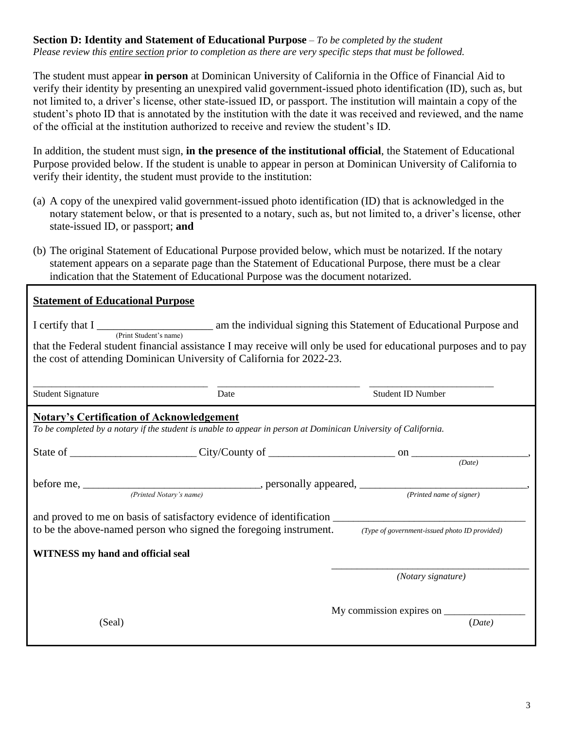#### **Section D: Identity and Statement of Educational Purpose** – *To be completed by the student Please review this entire section prior to completion as there are very specific steps that must be followed.*

The student must appear **in person** at Dominican University of California in the Office of Financial Aid to verify their identity by presenting an unexpired valid government-issued photo identification (ID), such as, but not limited to, a driver's license, other state-issued ID, or passport. The institution will maintain a copy of the student's photo ID that is annotated by the institution with the date it was received and reviewed, and the name of the official at the institution authorized to receive and review the student's ID.

In addition, the student must sign, **in the presence of the institutional official**, the Statement of Educational Purpose provided below. If the student is unable to appear in person at Dominican University of California to verify their identity, the student must provide to the institution:

- (a) A copy of the unexpired valid government-issued photo identification (ID) that is acknowledged in the notary statement below, or that is presented to a notary, such as, but not limited to, a driver's license, other state-issued ID, or passport; **and**
- (b) The original Statement of Educational Purpose provided below, which must be notarized. If the notary statement appears on a separate page than the Statement of Educational Purpose, there must be a clear indication that the Statement of Educational Purpose was the document notarized.

| <b>Statement of Educational Purpose</b>                                                                                                                                                                                                                                                                                                             |      |                          |
|-----------------------------------------------------------------------------------------------------------------------------------------------------------------------------------------------------------------------------------------------------------------------------------------------------------------------------------------------------|------|--------------------------|
| I certify that I <u>respect of</u> Educational Purpose and (Print Student's name) am the individual signing this Statement of Educational Purpose and<br>that the Federal student financial assistance I may receive will only be used for educational purposes and to pay<br>the cost of attending Dominican University of California for 2022-23. |      |                          |
| <b>Student Signature</b>                                                                                                                                                                                                                                                                                                                            | Date | <b>Student ID Number</b> |
| <b>Notary's Certification of Acknowledgement</b><br>To be completed by a notary if the student is unable to appear in person at Dominican University of California.                                                                                                                                                                                 |      |                          |
|                                                                                                                                                                                                                                                                                                                                                     |      | (Date)                   |
|                                                                                                                                                                                                                                                                                                                                                     |      |                          |
|                                                                                                                                                                                                                                                                                                                                                     |      |                          |
| to be the above-named person who signed the foregoing instrument. (Type of government-issued photo ID provided)                                                                                                                                                                                                                                     |      |                          |
| <b>WITNESS</b> my hand and official seal                                                                                                                                                                                                                                                                                                            |      |                          |
|                                                                                                                                                                                                                                                                                                                                                     |      | (Notary signature)       |
|                                                                                                                                                                                                                                                                                                                                                     |      |                          |
| (Seal)                                                                                                                                                                                                                                                                                                                                              |      | (Date)                   |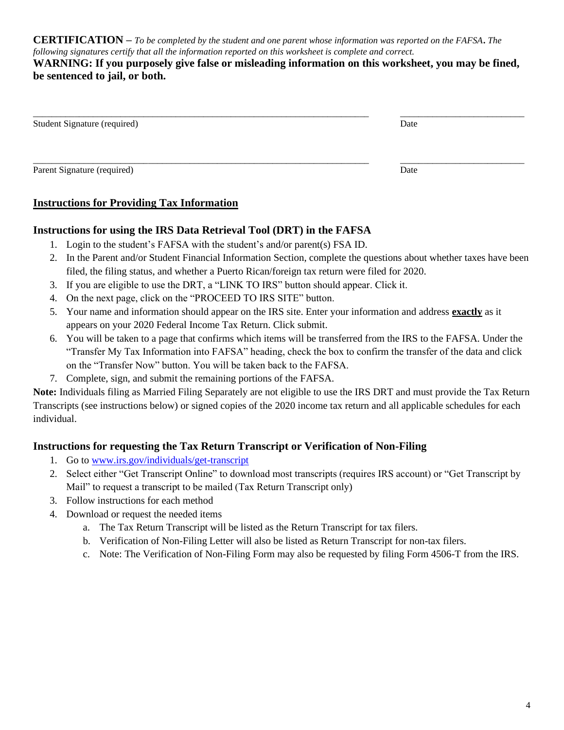**CERTIFICATION –** *To be completed by the student and one parent whose information was reported on the FAFSA***.** *The following signatures certify that all the information reported on this worksheet is complete and correct.*

#### **WARNING: If you purposely give false or misleading information on this worksheet, you may be fined, be sentenced to jail, or both.**

| Student Signature (required) | Date |
|------------------------------|------|
| Parent Signature (required)  | Date |

## **Instructions for Providing Tax Information**

## **Instructions for using the IRS Data Retrieval Tool (DRT) in the FAFSA**

- 1. Login to the student's FAFSA with the student's and/or parent(s) FSA ID.
- 2. In the Parent and/or Student Financial Information Section, complete the questions about whether taxes have been filed, the filing status, and whether a Puerto Rican/foreign tax return were filed for 2020.
- 3. If you are eligible to use the DRT, a "LINK TO IRS" button should appear. Click it.
- 4. On the next page, click on the "PROCEED TO IRS SITE" button.
- 5. Your name and information should appear on the IRS site. Enter your information and address **exactly** as it appears on your 2020 Federal Income Tax Return. Click submit.
- 6. You will be taken to a page that confirms which items will be transferred from the IRS to the FAFSA. Under the "Transfer My Tax Information into FAFSA" heading, check the box to confirm the transfer of the data and click on the "Transfer Now" button. You will be taken back to the FAFSA.
- 7. Complete, sign, and submit the remaining portions of the FAFSA.

**Note:** Individuals filing as Married Filing Separately are not eligible to use the IRS DRT and must provide the Tax Return Transcripts (see instructions below) or signed copies of the 2020 income tax return and all applicable schedules for each individual.

## **Instructions for requesting the Tax Return Transcript or Verification of Non-Filing**

- 1. Go to [www.irs.gov/individuals/get-transcript](https://www.irs.gov/individuals/get-transcript)
- 2. Select either "Get Transcript Online" to download most transcripts (requires IRS account) or "Get Transcript by Mail" to request a transcript to be mailed (Tax Return Transcript only)
- 3. Follow instructions for each method
- 4. Download or request the needed items
	- a. The Tax Return Transcript will be listed as the Return Transcript for tax filers.
	- b. Verification of Non-Filing Letter will also be listed as Return Transcript for non-tax filers.
	- c. Note: The Verification of Non-Filing Form may also be requested by filing Form 4506-T from the IRS.